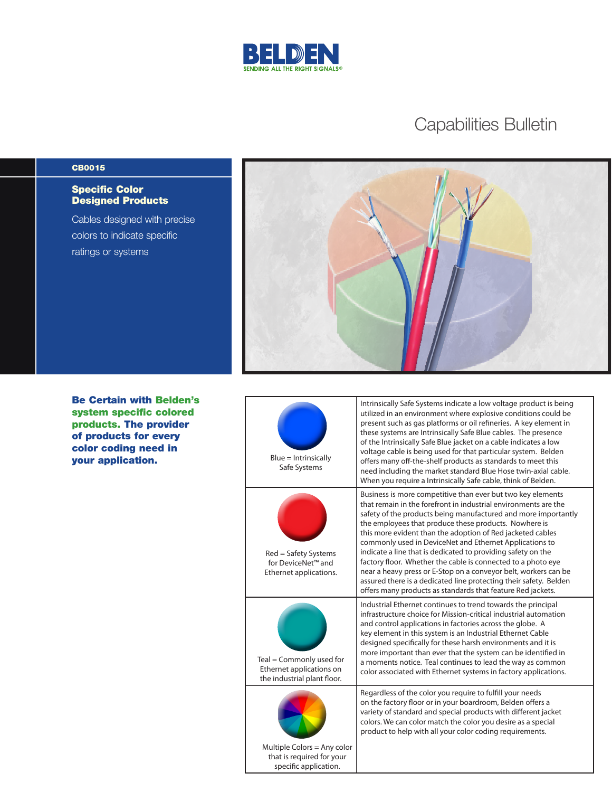

## Capabilities Bulletin

## CB0015

## Specific Color Designed Products

Cables designed with precise colors to indicate specific ratings or systems



Be Certain with Belden's system specific colored products. The provider of products for every color coding need in your application.

| $Blue = Intrinsically$<br>Safe Systems                                              | Intrinsically Safe Systems indicate a low voltage product is being<br>utilized in an environment where explosive conditions could be<br>present such as gas platforms or oil refineries. A key element in<br>these systems are Intrinsically Safe Blue cables. The presence<br>of the Intrinsically Safe Blue jacket on a cable indicates a low<br>voltage cable is being used for that particular system. Belden<br>offers many off-the-shelf products as standards to meet this<br>need including the market standard Blue Hose twin-axial cable.<br>When you require a Intrinsically Safe cable, think of Belden.                                                                                                      |
|-------------------------------------------------------------------------------------|---------------------------------------------------------------------------------------------------------------------------------------------------------------------------------------------------------------------------------------------------------------------------------------------------------------------------------------------------------------------------------------------------------------------------------------------------------------------------------------------------------------------------------------------------------------------------------------------------------------------------------------------------------------------------------------------------------------------------|
| Red = Safety Systems<br>for DeviceNet <sup>™</sup> and<br>Ethernet applications.    | Business is more competitive than ever but two key elements<br>that remain in the forefront in industrial environments are the<br>safety of the products being manufactured and more importantly<br>the employees that produce these products. Nowhere is<br>this more evident than the adoption of Red jacketed cables<br>commonly used in DeviceNet and Ethernet Applications to<br>indicate a line that is dedicated to providing safety on the<br>factory floor. Whether the cable is connected to a photo eye<br>near a heavy press or E-Stop on a conveyor belt, workers can be<br>assured there is a dedicated line protecting their safety. Belden<br>offers many products as standards that feature Red jackets. |
| Teal = Commonly used for<br>Ethernet applications on<br>the industrial plant floor. | Industrial Ethernet continues to trend towards the principal<br>infrastructure choice for Mission-critical industrial automation<br>and control applications in factories across the globe. A<br>key element in this system is an Industrial Ethernet Cable<br>designed specifically for these harsh environments and it is<br>more important than ever that the system can be identified in<br>a moments notice. Teal continues to lead the way as common<br>color associated with Ethernet systems in factory applications.                                                                                                                                                                                             |
| Multiple Colors = Any color<br>that is required for your<br>specific application.   | Regardless of the color you require to fulfill your needs<br>on the factory floor or in your boardroom, Belden offers a<br>variety of standard and special products with different jacket<br>colors. We can color match the color you desire as a special<br>product to help with all your color coding requirements.                                                                                                                                                                                                                                                                                                                                                                                                     |